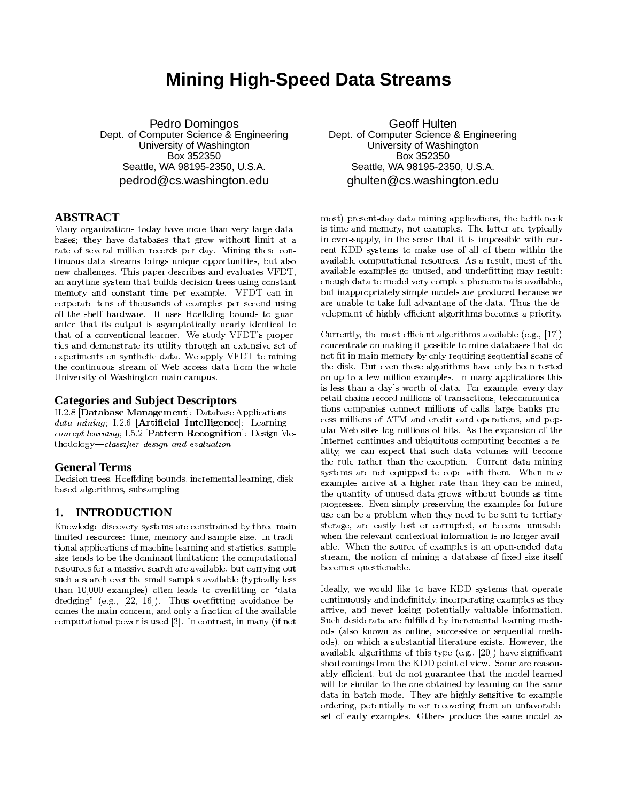# **Mining High-Speed Data Streams**

Pedro Domingos Dept. of Computer Science & Engineering University of Washington Box 352350 Seattle, WA 98195-2350, U.S.A. pedrod@cs.washington.edu

### **ABSTRACT**

Many organizations today have more than very large databases; they have databases that grow without limit at a rate of several million records per day. Mining these continuous data streams brings unique opportunities, but also new challenges. This paper describes and evaluates VFDT, an anytime system that builds decision trees using constant memory and constant time per example. VFDT can incorporate tens of thousands of examples per second using off-the-shelf hardware. It uses Hoeffding bounds to guarantee that its output is asymptotically nearly identical to that of a conventional learner. We study VFDT's properties and demonstrate its utility through an extensive set of experiments on synthetic data. We apply VFDT to mining the continuous stream of Web access data from the whole University of Washington main campus.

### **Categories and Subject Descriptors**

H.2.8 [Database Management]: Database Applicationsdata mining; I.2.6 [Artificial Intelligence]: Learningconcept learning; I.5.2 [Pattern Recognition]: Design Methodology-classifier design and evaluation

### **General Terms**

Decision trees, Hoeffding bounds, incremental learning, diskbased algorithms, subsampling

#### **INTRODUCTION** 1.

Knowledge discovery systems are constrained by three main limited resources: time, memory and sample size. In traditional applications of machine learning and statistics, sample size tends to be the dominant limitation: the computational resources for a massive search are available, but carrying out such a search over the small samples available (typically less than 10,000 examples) often leads to overfitting or "data dredging" (e.g.,  $[22, 16]$ ). Thus overfitting avoidance becomes the main concern, and only a fraction of the available computational power is used [3]. In contrast, in many (if not

**Geoff Hulten** Dept. of Computer Science & Engineering University of Washington Box 352350 Seattle, WA 98195-2350, U.S.A. ghulten@cs.washington.edu

most) present-day data mining applications, the bottleneck is time and memory, not examples. The latter are typically in over-supply, in the sense that it is impossible with current KDD systems to make use of all of them within the available computational resources. As a result, most of the available examples go unused, and underfitting may result: enough data to model very complex phenomena is available, but inappropriately simple models are produced because we are unable to take full advantage of the data. Thus the development of highly efficient algorithms becomes a priority.

Currently, the most efficient algorithms available (e.g., [17]) concentrate on making it possible to mine databases that do not fit in main memory by only requiring sequential scans of the disk. But even these algorithms have only been tested on up to a few million examples. In many applications this is less than a day's worth of data. For example, every day retail chains record millions of transactions, telecommunications companies connect millions of calls, large banks process millions of ATM and credit card operations, and popular Web sites log millions of hits. As the expansion of the Internet continues and ubiquitous computing becomes a reality, we can expect that such data volumes will become the rule rather than the exception. Current data mining systems are not equipped to cope with them. When new examples arrive at a higher rate than they can be mined, the quantity of unused data grows without bounds as time progresses. Even simply preserving the examples for future use can be a problem when they need to be sent to tertiary storage, are easily lost or corrupted, or become unusable when the relevant contextual information is no longer available. When the source of examples is an open-ended data stream, the notion of mining a database of fixed size itself becomes questionable.

Ideally, we would like to have KDD systems that operate continuously and indefinitely, incorporating examples as they arrive, and never losing potentially valuable information. Such desiderata are fulfilled by incremental learning methods (also known as online, successive or sequential methods), on which a substantial literature exists. However, the available algorithms of this type (e.g.,  $[20]$ ) have significant shortcomings from the KDD point of view. Some are reasonably efficient, but do not guarantee that the model learned will be similar to the one obtained by learning on the same data in batch mode. They are highly sensitive to example ordering, potentially never recovering from an unfavorable set of early examples. Others produce the same model as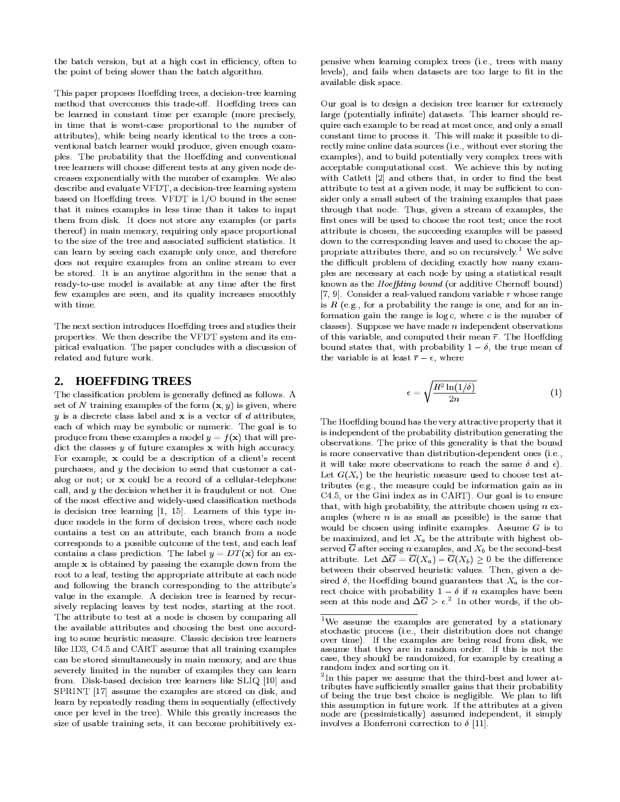the batch version, but at a high cost in efficiency, often to the point of being slower than the batch algorithm.

This paper proposes Hoeffding trees, a decision-tree learning method that overcomes this trade-off. Hoeffding trees can be learned in constant time per example (more precisely, in time that is worst-case proportional to the number of attributes), while being nearly identical to the trees a conventional batch learner would produce, given enough examples. The probability that the Hoeffding and conventional tree learners will choose different tests at any given node decreases exponentially with the number of examples. We also describe and evaluate VFDT, a decision-tree learning system based on Hoeffding trees. VFDT is I/O bound in the sense that it mines examples in less time than it takes to input them from disk. It does not store any examples (or parts thereof) in main memory, requiring only space proportional to the size of the tree and associated sufficient statistics. It can learn by seeing each example only once, and therefore does not require examples from an online stream to ever be stored. It is an anytime algorithm in the sense that a ready-to-use model is available at any time after the first few examples are seen, and its quality increases smoothly with time.

The next section introduces Hoeffding trees and studies their properties. We then describe the VFDT system and its empirical evaluation. The paper concludes with a discussion of related and future work.

#### **HOEFFDING TREES**  $2_{\cdot}$

The classification problem is generally defined as follows. A set of N training examples of the form  $(x, y)$  is given, where  $y$  is a discrete class label and  $x$  is a vector of  $d$  attributes, each of which may be symbolic or numeric. The goal is to produce from these examples a model  $y = f(\mathbf{x})$  that will predict the classes  $y$  of future examples  $x$  with high accuracy. For example, x could be a description of a client's recent purchases, and y the decision to send that customer a catalog or not; or x could be a record of a cellular-telephone call, and  $y$  the decision whether it is fraudulent or not. One of the most effective and widely-used classification methods is decision tree learning [1, 15]. Learners of this type induce models in the form of decision trees, where each node contains a test on an attribute, each branch from a node corresponds to a possible outcome of the test, and each leaf contains a class prediction. The label  $y = DT(x)$  for an example  $x$  is obtained by passing the example down from the root to a leaf, testing the appropriate attribute at each node and following the branch corresponding to the attribute's value in the example. A decision tree is learned by recursively replacing leaves by test nodes, starting at the root. The attribute to test at a node is chosen by comparing all the available attributes and choosing the best one according to some heuristic measure. Classic decision tree learners like ID3, C4.5 and CART assume that all training examples can be stored simultaneously in main memory, and are thus severely limited in the number of examples they can learn from. Disk-based decision tree learners like SLIQ [10] and SPRINT [17] assume the examples are stored on disk, and learn by repeatedly reading them in sequentially (effectively once per level in the tree). While this greatly increases the size of usable training sets, it can become prohibitively expensive when learning complex trees (i.e., trees with many levels), and fails when datasets are too large to fit in the available disk space.

Our goal is to design a decision tree learner for extremely large (potentially infinite) datasets. This learner should require each example to be read at most once, and only a small constant time to process it. This will make it possible to directly mine online data sources (i.e., without ever storing the examples), and to build potentially very complex trees with acceptable computational cost. We achieve this by noting with Catlett [2] and others that, in order to find the best attribute to test at a given node, it may be sufficient to consider only a small subset of the training examples that pass through that node. Thus, given a stream of examples, the first ones will be used to choose the root test; once the root attribute is chosen, the succeeding examples will be passed down to the corresponding leaves and used to choose the appropriate attributes there, and so on recursively.<sup>1</sup> We solve the difficult problem of deciding exactly how many examples are necessary at each node by using a statistical result known as the Hoeffding bound (or additive Chernoff bound) [7, 9]. Consider a real-valued random variable  $r$  whose range is  $R$  (e.g., for a probability the range is one, and for an information gain the range is  $log c$ , where  $c$  is the number of classes). Suppose we have made  $n$  independent observations of this variable, and computed their mean  $\bar{r}$ . The Hoeffding bound states that, with probability  $1 - \delta$ , the true mean of the variable is at least  $\overline{r} - \epsilon$ , where

$$
\epsilon = \sqrt{\frac{R^2 \ln(1/\delta)}{2n}}\tag{1}
$$

The Hoeffding bound has the very attractive property that it is independent of the probability distribution generating the observations. The price of this generality is that the bound is more conservative than distribution-dependent ones (i.e., it will take more observations to reach the same  $\delta$  and  $\epsilon$ ). Let  $G(X_i)$  be the heuristic measure used to choose test attributes (e.g., the measure could be information gain as in C4.5, or the Gini index as in CART). Our goal is to ensure that, with high probability, the attribute chosen using  $n$  examples (where  $n$  is as small as possible) is the same that would be chosen using infinite examples. Assume  $G$  is to be maximized, and let  $X_a$  be the attribute with highest observed  $\overline{G}$  after seeing *n* examples, and  $X_b$  be the second-best attribute. Let  $\Delta \overline{G} = \overline{G}(X_a) - \overline{G}(X_b) \geq 0$  be the difference between their observed heuristic values. Then, given a desired  $\delta$ , the Hoeffding bound guarantees that  $X_a$  is the correct choice with probability  $1 - \delta$  if *n* examples have been<br>seen at this node and  $\Delta \overline{G} > \epsilon^2$ . In other words, if the ob-

<sup>&</sup>lt;sup>1</sup>We assume the examples are generated by a stationary stochastic process (i.e., their distribution does not change over time). If the examples are being read from disk, we assume that they are in random order. If this is not the case, they should be randomized, for example by creating a random index and sorting on it.

 $2$ In this paper we assume that the third-best and lower attributes have sufficiently smaller gains that their probability of being the true best choice is negligible. We plan to lift this assumption in future work. If the attributes at a given node are (pessimistically) assumed independent, it simply involves a Bonferroni correction to  $\delta$  [11].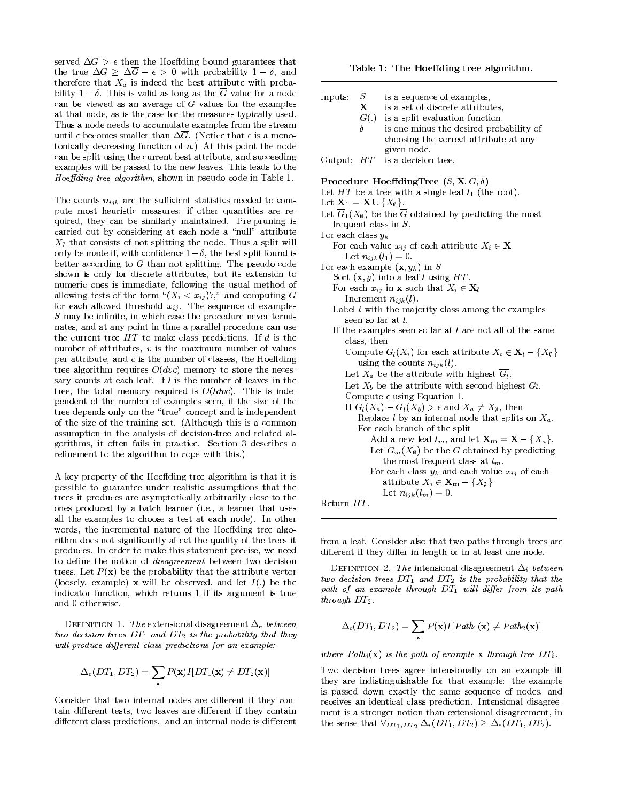served  $\Delta \overline{G}$  >  $\epsilon$  then the Hoeffding bound guarantees that the true  $\Delta G \geq \Delta \overline{G} - \epsilon > 0$  with probability  $1 - \delta$ , and therefore that  $X_a$  is indeed the best attribute with probability  $1 - \delta$ . This is valid as long as the  $\overline{G}$  value for a node can be viewed as an average of  $G$  values for the examples at that node, as is the case for the measures typically used. Thus a node needs to accumulate examples from the stream until  $\epsilon$  becomes smaller than  $\Delta \overline{G}$ . (Notice that  $\epsilon$  is a monotonically decreasing function of  $n$ .) At this point the node can be split using the current best attribute, and succeeding examples will be passed to the new leaves. This leads to the Hoeffding tree algorithm, shown in pseudo-code in Table 1.

The counts  $n_{ijk}$  are the sufficient statistics needed to compute most heuristic measures; if other quantities are required, they can be similarly maintained. Pre-pruning is carried out by considering at each node a "null" attribute  $X_{\emptyset}$  that consists of not splitting the node. Thus a split will only be made if, with confidence  $1-\delta$ , the best split found is better according to  $G$  than not splitting. The pseudo-code shown is only for discrete attributes, but its extension to numeric ones is immediate, following the usual method of allowing tests of the form " $(X_i < x_{ij})$ ?," and computing  $\overline{G}$ for each allowed threshold  $x_{ij}$ . The sequence of examples  $S$  may be infinite, in which case the procedure never terminates, and at any point in time a parallel procedure can use the current tree  $HT$  to make class predictions. If  $d$  is the number of attributes,  $v$  is the maximum number of values per attribute, and  $c$  is the number of classes, the Hoeffding tree algorithm requires  $O(dvc)$  memory to store the necessary counts at each leaf. If l is the number of leaves in the tree, the total memory required is  $O(ldvc)$ . This is independent of the number of examples seen, if the size of the tree depends only on the "true" concept and is independent of the size of the training set. (Although this is a common assumption in the analysis of decision-tree and related algorithms, it often fails in practice. Section 3 describes a refinement to the algorithm to cope with this.)

A key property of the Hoeffding tree algorithm is that it is possible to guarantee under realistic assumptions that the trees it produces are asymptotically arbitrarily close to the ones produced by a batch learner (i.e., a learner that uses all the examples to choose a test at each node). In other words, the incremental nature of the Hoeffding tree algorithm does not significantly affect the quality of the trees it produces. In order to make this statement precise, we need to define the notion of *disagreement* between two decision trees. Let  $P(x)$  be the probability that the attribute vector (loosely, example) x will be observed, and let  $I(.)$  be the indicator function, which returns 1 if its argument is true and 0 otherwise.

DEFINITION 1. The extensional disagreement  $\Delta_e$  between two decision trees  $DT_1$  and  $DT_2$  is the probability that they will produce different class predictions for an example:

$$
\Delta_e(DT_1, DT_2) = \sum_{\mathbf{x}} P(\mathbf{x})I[DT_1(\mathbf{x}) \neq DT_2(\mathbf{x})]
$$

Consider that two internal nodes are different if they contain different tests, two leaves are different if they contain different class predictions, and an internal node is different

Table 1: The Hoeffding tree algorithm.

| Inputs:                                                                                                 | $S_{\rm}$ | is a sequence of examples,                                                              |
|---------------------------------------------------------------------------------------------------------|-----------|-----------------------------------------------------------------------------------------|
|                                                                                                         | X         | is a set of discrete attributes,                                                        |
|                                                                                                         | G(.)      | is a split evaluation function,                                                         |
|                                                                                                         | δ         | is one minus the desired probability of                                                 |
|                                                                                                         |           | choosing the correct attribute at any                                                   |
|                                                                                                         |           | given node.                                                                             |
| Output:                                                                                                 | HT        | is a decision tree.                                                                     |
|                                                                                                         |           | Procedure HoeffdingTree $(S, \mathbf{X}, G, \delta)$                                    |
|                                                                                                         |           | Let $HT$ be a tree with a single leaf $l_1$ (the root).                                 |
| Let $\mathbf{X}_1 = \mathbf{X} \cup \{X_{\emptyset}\}.$                                                 |           |                                                                                         |
|                                                                                                         |           | Let $\overline{G}_1(X_\emptyset)$ be the $\overline{G}$ obtained by predicting the most |
|                                                                                                         |           | frequent class in $S$ .                                                                 |
| For each class $y_k$                                                                                    |           |                                                                                         |
|                                                                                                         |           |                                                                                         |
| For each value $x_{ij}$ of each attribute $X_i \in \mathbf{X}$<br>Let $n_{ijk}(l_1)=0$ .                |           |                                                                                         |
| For each example $(\mathbf{x}, y_k)$ in S                                                               |           |                                                                                         |
|                                                                                                         |           |                                                                                         |
| Sort $(x, y)$ into a leaf l using HT.<br>For each $x_{ij}$ in <b>x</b> such that $X_i \in \mathbf{X}_i$ |           |                                                                                         |
| Increment $n_{ijk}(l)$ .                                                                                |           |                                                                                         |
| Label $l$ with the majority class among the examples                                                    |           |                                                                                         |
| seen so far at <i>l</i> .                                                                               |           |                                                                                         |
| If the examples seen so far at $l$ are not all of the same                                              |           |                                                                                         |
| class, then                                                                                             |           |                                                                                         |
| Compute $\overline{G}_l(X_i)$ for each attribute $X_i \in \mathbf{X}_l - \{X_{\emptyset}\}\$            |           |                                                                                         |
| using the counts $n_{ijk}(l)$ .                                                                         |           |                                                                                         |
| Let $X_a$ be the attribute with highest $\overline{G_i}$ .                                              |           |                                                                                         |
| Let $X_b$ be the attribute with second-highest $G_l$ .                                                  |           |                                                                                         |
| Compute $\epsilon$ using Equation 1.                                                                    |           |                                                                                         |
| If $\overline{G}_l(X_a) - \overline{G}_l(X_b) > \epsilon$ and $X_a \neq X_\emptyset$ , then             |           |                                                                                         |
| Replace $l$ by an internal node that splits on $X_a$ .                                                  |           |                                                                                         |
| For each branch of the split                                                                            |           |                                                                                         |
| Add a new leaf $l_m$ , and let $\mathbf{X_m} = \mathbf{X} - \{X_a\}$ .                                  |           |                                                                                         |
| Let $\overline{G}_m(X_{\emptyset})$ be the $\overline{G}$ obtained by predicting                        |           |                                                                                         |
| the most frequent class at $l_m$ .                                                                      |           |                                                                                         |
| For each class $y_k$ and each value $x_{ij}$ of each                                                    |           |                                                                                         |
| attribute $X_i \in \mathbf{X}_{\mathbf{m}} - \{X_{\emptyset}\}\$                                        |           |                                                                                         |
|                                                                                                         |           | Let $n_{ijk}(l_m)=0$ .                                                                  |
| Return $HT.$                                                                                            |           |                                                                                         |
|                                                                                                         |           |                                                                                         |

Į,

from a leaf. Consider also that two paths through trees are different if they differ in length or in at least one node.

DEFINITION 2. The intensional disagreement  $\Delta_i$  between two decision trees  $DT_1$  and  $DT_2$  is the probability that the path of an example through  $DT_1$  will differ from its path through  $DT_2$ :

$$
\Delta_i(DT_1,DT_2)=\sum_{\mathbf{x}}P(\mathbf{x})I[Path_1(\mathbf{x})\neq Path_2(\mathbf{x})]
$$

where  $Path_i(\mathbf{x})$  is the path of example **x** through tree  $DT_i$ .

Two decision trees agree intensionally on an example iff they are indistinguishable for that example: the example is passed down exactly the same sequence of nodes, and receives an identical class prediction. Intensional disagreement is a stronger notion than extensional disagreement, in the sense that  $\forall_{DT_1,DT_2} \Delta_i(DT_1,DT_2) \geq \Delta_e(DT_1,DT_2)$ .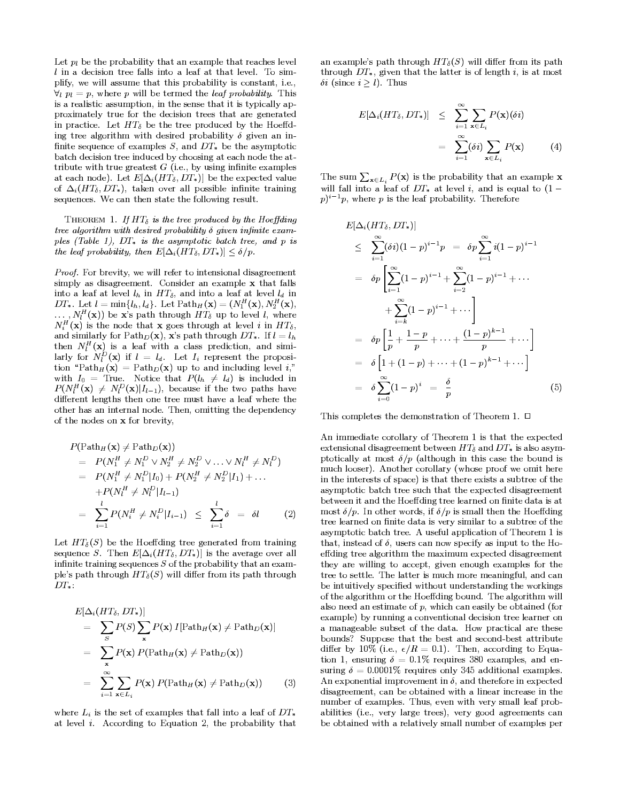Let  $p_i$  be the probability that an example that reaches level  $l$  in a decision tree falls into a leaf at that level. To simplify, we will assume that this probability is constant, i.e.,  $\forall_i p_i = p$ , where p will be termed the *leaf probability*. This is a realistic assumption, in the sense that it is typically approximately true for the decision trees that are generated in practice. Let  $HT_{\delta}$  be the tree produced by the Hoeffding tree algorithm with desired probability  $\delta$  given an infinite sequence of examples  $S$ , and  $DT_*$  be the asymptotic batch decision tree induced by choosing at each node the attribute with true greatest  $G$  (i.e., by using infinite examples at each node). Let  $E[\Delta_i (HT_\delta, DT_*)]$  be the expected value of  $\Delta_i(HT_\delta, DT_*)$ , taken over all possible infinite training sequences. We can then state the following result.

THEOREM 1. If  $HT_{\delta}$  is the tree produced by the Hoeffding tree algorithm with desired probability  $\delta$  given infinite examples (Table 1).  $DT_*$  is the asymptotic batch tree, and p is the leaf probability, then  $E[\Delta_i(HT_\delta, DT_*)] \leq \delta/p$ .

Proof. For brevity, we will refer to intensional disagreement simply as disagreement. Consider an example x that falls into a leaf at level  $l_h$  in  $HT_\delta$ , and into a leaf at level  $l_d$  in DT<sub>\*</sub>. Let  $l = \min\{l_h, l_d\}$ . Let  $\text{Path}_H(\mathbf{x}) = (N_1^H(\mathbf{x}), N_2^H(\mathbf{x}),$  $\ldots$ ,  $N_l^H(\mathbf{x})$  be x's path through  $HT_\delta$  up to level l, where  $N_i^H(\mathbf{x})$  is the node that **x** goes through at level i in  $HT_\delta$ , and similarly for  $Path_D(\mathbf{x})$ , x's path through  $DT_*$ . If  $l = l_h$ then  $N_l^H(\mathbf{x})$  is a leaf with a class prediction, and similarly for  $N_l^D(\mathbf{x})$  if  $l = l_d$ . Let  $I_i$  represent the proposition "Path $_H(\mathbf{x}) = \mathrm{Path}_D(\mathbf{x})$  up to and including level i," with  $I_0$  = True. Notice that  $P(l_h \neq l_d)$  is included in  $P(N_l^H(\mathbf{x}) \neq N_l^D(\mathbf{x})|I_{l-1})$ , because if the two paths have different lengths then one tree must have a leaf where the other has an internal node. Then, omitting the dependency of the nodes on x for brevity.

$$
P(\text{Path}_{H}(\mathbf{x}) \neq \text{Path}_{D}(\mathbf{x}))
$$
  
=  $P(N_1^H \neq N_1^D \lor N_2^H \neq N_2^D \lor ... \lor N_l^H \neq N_l^D)$   
=  $P(N_1^H \neq N_1^D | I_0) + P(N_2^H \neq N_2^D | I_1) + ...$   
+  $P(N_l^H \neq N_l^D | I_{l-1})$   
=  $\sum_{i=1}^l P(N_i^H \neq N_i^D | I_{i-1}) \leq \sum_{i=1}^l \delta = \delta l$  (2)

Let  $HT_{\delta}(S)$  be the Hoeffding tree generated from training sequence S. Then  $E[\Delta_i(HT_\delta, DT_*)]$  is the average over all infinite training sequences  $S$  of the probability that an example's path through  $HT_{\delta}(S)$  will differ from its path through  $DT_*$ :

$$
E[\Delta_i (HT_\delta, DT_*)]
$$
  
=  $\sum_{S} P(S) \sum_{\mathbf{x}} P(\mathbf{x}) I[\text{Path}_H(\mathbf{x}) \neq \text{Path}_D(\mathbf{x})]$   
=  $\sum_{\mathbf{x}} P(\mathbf{x}) P(\text{Path}_H(\mathbf{x}) \neq \text{Path}_D(\mathbf{x}))$   
=  $\sum_{i=1}^{\infty} \sum_{\mathbf{x} \in L_i} P(\mathbf{x}) P(\text{Path}_H(\mathbf{x}) \neq \text{Path}_D(\mathbf{x}))$  (3)

where  $L_i$  is the set of examples that fall into a leaf of  $DT_*$ at level  $i$ . According to Equation 2, the probability that an example's path through  $HT_{\delta}(S)$  will differ from its path through  $DT_*$ , given that the latter is of length i, is at most  $\delta i$  (since  $i \geq l$ ). Thus

$$
E[\Delta_i(HT_\delta, DT_*)] \leq \sum_{i=1}^{\infty} \sum_{\mathbf{x} \in L_i} P(\mathbf{x})(\delta i)
$$
  
= 
$$
\sum_{i=1}^{\infty} (\delta i) \sum_{\mathbf{x} \in L_i} P(\mathbf{x})
$$
 (4)

The sum  $\sum_{\mathbf{x}\in L_i} P(\mathbf{x})$  is the probability that an example **x** will fall into a leaf of  $DT_*$  at level i, and is equal to  $(1$  $p^{\lambda}$ <sup>i-1</sup>p, where p is the leaf probability. Therefore

$$
E[\Delta_i (HT_\delta, DT_*)]
$$
  
\n
$$
\leq \sum_{i=1}^{\infty} (\delta i) (1-p)^{i-1} p = \delta p \sum_{i=1}^{\infty} i (1-p)^{i-1}
$$
  
\n
$$
= \delta p \left[ \sum_{i=1}^{\infty} (1-p)^{i-1} + \sum_{i=2}^{\infty} (1-p)^{i-1} + \cdots \right]
$$
  
\n
$$
+ \sum_{i=k}^{\infty} (1-p)^{i-1} + \cdots \right]
$$
  
\n
$$
= \delta p \left[ \frac{1}{p} + \frac{1-p}{p} + \cdots + \frac{(1-p)^{k-1}}{p} + \cdots \right]
$$
  
\n
$$
= \delta \left[ 1 + (1-p) + \cdots + (1-p)^{k-1} + \cdots \right]
$$
  
\n
$$
= \delta \sum_{i=0}^{\infty} (1-p)^i = \frac{\delta}{p}
$$
(5)

This completes the demonstration of Theorem 1.  $\Box$ 

An immediate corollary of Theorem 1 is that the expected extensional disagreement between  $HT_{\delta}$  and  $DT_{*}$  is also asymptotically at most  $\delta/p$  (although in this case the bound is much looser). Another corollary (whose proof we omit here in the interests of space) is that there exists a subtree of the asymptotic batch tree such that the expected disagreement between it and the Hoeffding tree learned on finite data is at most  $\delta/p$ . In other words, if  $\delta/p$  is small then the Hoeffding tree learned on finite data is very similar to a subtree of the asymptotic batch tree. A useful application of Theorem 1 is that, instead of  $\delta$ , users can now specify as input to the Hoeffding tree algorithm the maximum expected disagreement they are willing to accept, given enough examples for the tree to settle. The latter is much more meaningful, and can be intuitively specified without understanding the workings of the algorithm or the Hoeffding bound. The algorithm will also need an estimate of  $p$ , which can easily be obtained (for example) by running a conventional decision tree learner on a manageable subset of the data. How practical are these bounds? Suppose that the best and second-best attribute differ by 10% (i.e.,  $\epsilon/R = 0.1$ ). Then, according to Equation 1, ensuring  $\delta = 0.1\%$  requires 380 examples, and ensuring  $\delta = 0.0001\%$  requires only 345 additional examples. An exponential improvement in  $\delta$ , and therefore in expected disagreement, can be obtained with a linear increase in the number of examples. Thus, even with very small leaf probabilities (i.e., very large trees), very good agreements can be obtained with a relatively small number of examples per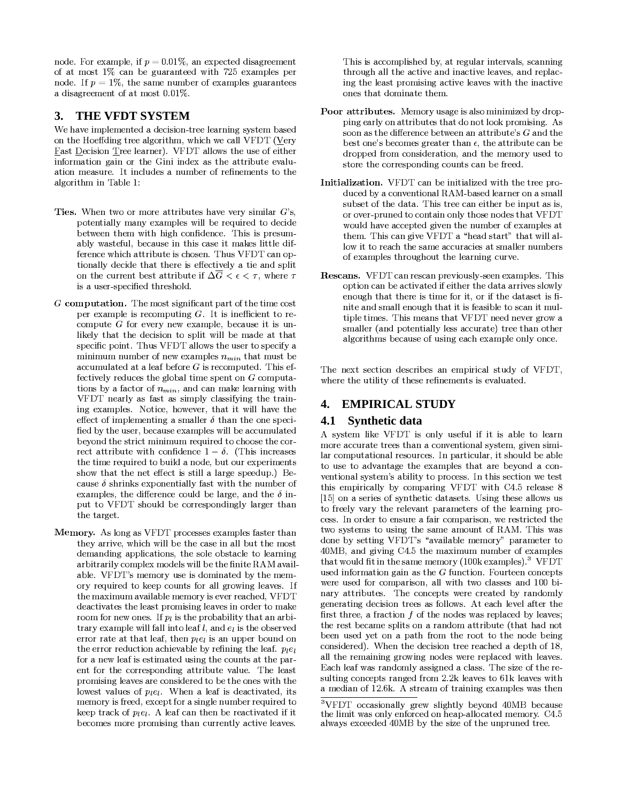node. For example, if  $p = 0.01\%$ , an expected disagreement of at most 1% can be guaranteed with 725 examples per node. If  $p = 1\%$ , the same number of examples guarantees a disagreement of at most 0.01%.

#### THE VFDT SYSTEM 3.

We have implemented a decision-tree learning system based on the Hoeffding tree algorithm, which we call VFDT (Very **Fast Decision Tree learner). VFDT allows the use of either** information gain or the Gini index as the attribute evaluation measure. It includes a number of refinements to the algorithm in Table 1:

- Ties. When two or more attributes have very similar  $G$ 's, potentially many examples will be required to decide between them with high confidence. This is presumably wasteful, because in this case it makes little difference which attribute is chosen. Thus VFDT can optionally decide that there is effectively a tie and split on the current best attribute if  $\Delta \overline{G} < \epsilon < \tau$ , where  $\tau$ is a user-specified threshold.
- $G$  computation. The most significant part of the time cost per example is recomputing  $G$ . It is inefficient to recompute  $G$  for every new example, because it is unlikely that the decision to split will be made at that specific point. Thus VFDT allows the user to specify a minimum number of new examples  $n_{min}$  that must be accumulated at a leaf before  $G$  is recomputed. This effectively reduces the global time spent on  $G$  computations by a factor of  $n_{min}$ , and can make learning with VFDT nearly as fast as simply classifying the training examples. Notice, however, that it will have the effect of implementing a smaller  $\delta$  than the one specified by the user, because examples will be accumulated beyond the strict minimum required to choose the correct attribute with confidence  $1 - \delta$ . (This increases the time required to build a node, but our experiments show that the net effect is still a large speedup.) Because  $\delta$  shrinks exponentially fast with the number of examples, the difference could be large, and the  $\delta$  input to VFDT should be correspondingly larger than the target.
- Memory. As long as VFDT processes examples faster than they arrive, which will be the case in all but the most demanding applications, the sole obstacle to learning arbitrarily complex models will be the finite RAM available. VFDT's memory use is dominated by the memory required to keep counts for all growing leaves. If the maximum available memory is ever reached, VFDT deactivates the least promising leaves in order to make room for new ones. If  $p_i$  is the probability that an arbitrary example will fall into leaf  $l$ , and  $e_l$  is the observed error rate at that leaf, then  $p_{i}e_{i}$  is an upper bound on the error reduction achievable by refining the leaf.  $p_l e_l$ for a new leaf is estimated using the counts at the parent for the corresponding attribute value. The least promising leaves are considered to be the ones with the lowest values of  $p_{l}e_{l}$ . When a leaf is deactivated, its memory is freed, except for a single number required to keep track of  $p_{l}e_{l}$ . A leaf can then be reactivated if it becomes more promising than currently active leaves.

This is accomplished by, at regular intervals, scanning through all the active and inactive leaves, and replacing the least promising active leaves with the inactive ones that dominate them.

- Poor attributes. Memory usage is also minimized by dropping early on attributes that do not look promising. As soon as the difference between an attribute's  $G$  and the best one's becomes greater than  $\epsilon$ , the attribute can be dropped from consideration, and the memory used to store the corresponding counts can be freed.
- Initialization. VFDT can be initialized with the tree produced by a conventional RAM-based learner on a small subset of the data. This tree can either be input as is, or over-pruned to contain only those nodes that VFDT would have accepted given the number of examples at them. This can give VFDT a "head start" that will allow it to reach the same accuracies at smaller numbers of examples throughout the learning curve.
- **Rescans.** VFDT can rescan previously-seen examples. This option can be activated if either the data arrives slowly enough that there is time for it, or if the dataset is finite and small enough that it is feasible to scan it multiple times. This means that VFDT need never grow a smaller (and potentially less accurate) tree than other algorithms because of using each example only once.

The next section describes an empirical study of VFDT. where the utility of these refinements is evaluated.

#### **EMPIRICAL STUDY**  $\mathbf{4}$ .

#### 4.1 Synthetic data

A system like VFDT is only useful if it is able to learn more accurate trees than a conventional system, given similar computational resources. In particular, it should be able to use to advantage the examples that are beyond a conventional system's ability to process. In this section we test this empirically by comparing VFDT with C4.5 release 8 [15] on a series of synthetic datasets. Using these allows us to freely vary the relevant parameters of the learning process. In order to ensure a fair comparison, we restricted the two systems to using the same amount of RAM. This was done by setting VFDT's "available memory" parameter to 40MB, and giving C4.5 the maximum number of examples that would fit in the same memory (100k examples).<sup>3</sup> VFDT used information gain as the  $G$  function. Fourteen concepts were used for comparison, all with two classes and 100 binary attributes. The concepts were created by randomly generating decision trees as follows. At each level after the first three, a fraction  $f$  of the nodes was replaced by leaves; the rest became splits on a random attribute (that had not been used yet on a path from the root to the node being considered). When the decision tree reached a depth of 18, all the remaining growing nodes were replaced with leaves. Each leaf was randomly assigned a class. The size of the resulting concepts ranged from 2.2k leaves to 61k leaves with a median of 12.6k. A stream of training examples was then

<sup>&</sup>lt;sup>3</sup>VFDT occasionally grew slightly beyond 40MB because the limit was only enforced on heap-allocated memory. C4.5 always exceeded 40MB by the size of the unpruned tree.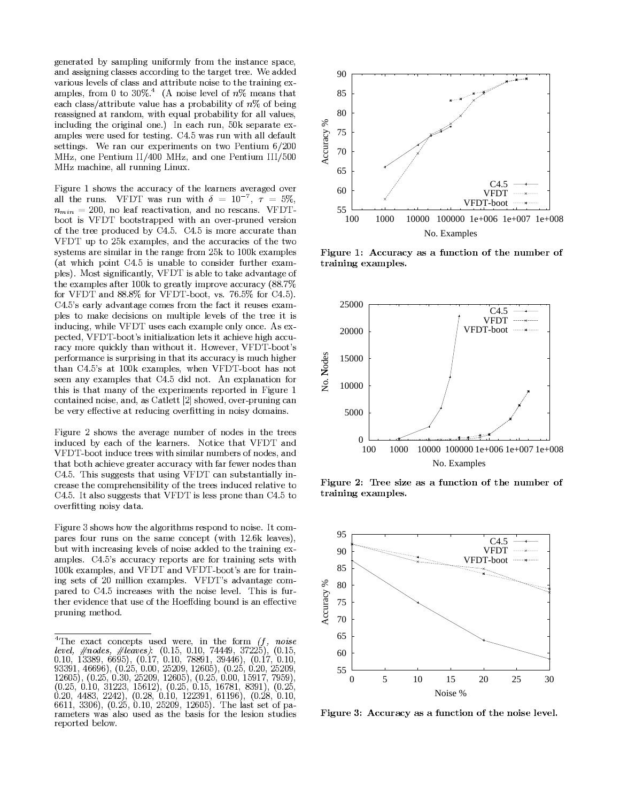generated by sampling uniformly from the instance space, and assigning classes according to the target tree. We added various levels of class and attribute noise to the training examples, from 0 to 30%.<sup>4</sup> (A noise level of  $n\%$  means that each class/attribute value has a probability of  $n\%$  of being reassigned at random, with equal probability for all values, including the original one.) In each run, 50k separate examples were used for testing. C4.5 was run with all default settings. We ran our experiments on two Pentium 6/200 MHz, one Pentium II/400 MHz, and one Pentium III/500 MHz machine, all running Linux.

Figure 1 shows the accuracy of the learners averaged over all the runs. VFDT was run with  $\delta = 10^{-7}$ ,  $\tau = 5\%$ ,  $n_{min} = 200$ , no leaf reactivation, and no rescans. VFDTboot is VFDT bootstrapped with an over-pruned version of the tree produced by C4.5. C4.5 is more accurate than VFDT up to 25k examples, and the accuracies of the two systems are similar in the range from 25k to 100k examples (at which point C4.5 is unable to consider further examples). Most significantly, VFDT is able to take advantage of the examples after 100k to greatly improve accuracy (88.7%) for VFDT and 88.8% for VFDT-boot, vs. 76.5% for C4.5). C4.5's early advantage comes from the fact it reuses examples to make decisions on multiple levels of the tree it is inducing, while VFDT uses each example only once. As expected, VFDT-boot's initialization lets it achieve high accuracy more quickly than without it. However, VFDT-boot's performance is surprising in that its accuracy is much higher than C4.5's at 100k examples, when VFDT-boot has not seen any examples that C4.5 did not. An explanation for this is that many of the experiments reported in Figure 1 contained noise, and, as Catlett [2] showed, over-pruning can be very effective at reducing overfitting in noisy domains.

Figure 2 shows the average number of nodes in the trees induced by each of the learners. Notice that VFDT and VFDT-boot induce trees with similar numbers of nodes, and that both achieve greater accuracy with far fewer nodes than C4.5. This suggests that using VFDT can substantially increase the comprehensibility of the trees induced relative to C4.5. It also suggests that VFDT is less prone than C4.5 to overfitting noisy data.

Figure 3 shows how the algorithms respond to noise. It compares four runs on the same concept (with 12.6k leaves), but with increasing levels of noise added to the training examples. C4.5's accuracy reports are for training sets with 100k examples, and VFDT and VFDT-boot's are for training sets of 20 million examples. VFDT's advantage compared to C4.5 increases with the noise level. This is further evidence that use of the Hoeffding bound is an effective pruning method.



Figure 1: Accuracy as a function of the number of training examples.



Figure 2: Tree size as a function of the number of training examples.



Figure 3: Accuracy as a function of the noise level.

<sup>&</sup>lt;sup>4</sup>The exact concepts used were, in the form  $(f, f)$ noise level,  $#nodes, \#leaves$ . (0.15, 0.10, 74449, 37225), (0.15,  $0.10, 13389, 6695, (0.17, 0.10, 78891, 39446), (0.17, 0.10, 93391, 46696), (0.25, 0.00, 25209, 12605), (0.25, 0.20, 25209, 12605), (0.25, 0.20, 25209, 12605), (0.25, 0.30, 25209, 12605), (0.25, 0.00, 15917, 7959),$  $(0.25, 0.10, 31223, 15612), (0.25, 0.15, 16781, 8391), (0.25,$ 0.20, 4483, 2242), (0.28, 0.10, 122391, 61196), (0.28, 0.10, 6611, 3306), (0.25, 0.10, 25209, 12605). The last set of parameters was also used as the basis for the lesion studies reported below.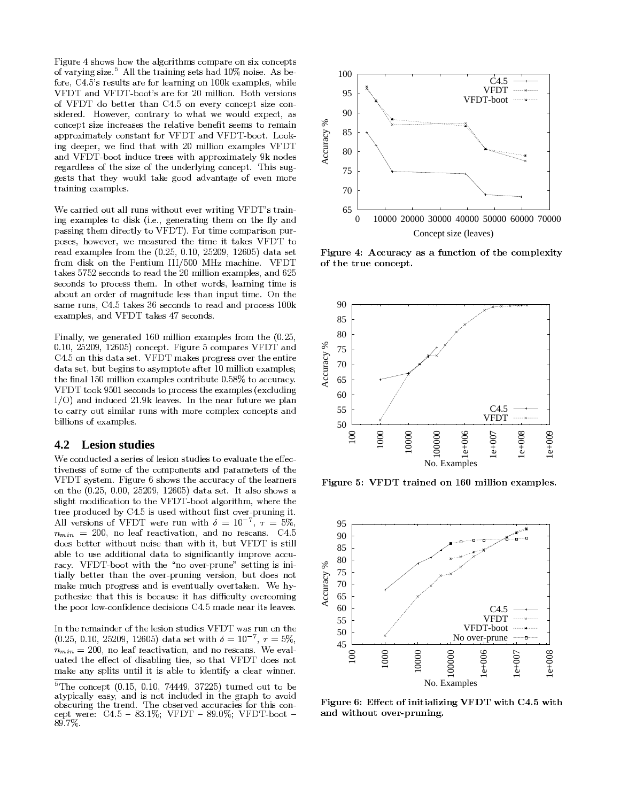$\blacksquare$ eo ph`q]m^c]ra <sup>s</sup> tui <sup>i</sup> gdag `h]m]m^cag cdhvw xy\$me]ca s9uc9za{ oe'a haar in aandaan in aanhii ah aan in aan in aan in aan in 1970. In 1970 waa waxaa ka madaxaa ka madaxaa ka madaxaa ka madaxaa ka madaxaa ka madaxaa ka madaxaa ka madaxaa ka madaxaa ka madaxaa ka madaxaa ka madaxaa ka m  $\bm{z}$  eggs en die staan ook die stad begin die stad begin die stad begin die stad begin die stad begin die stad begin die stad begin die stad begin die stad begin die stad begin die stad begin die stad begin die stad beg eo\ veSzagg a`gdhmG}9b <sup>s</sup> ~Sem,apa`qkemkalgc]rakem{ carav shows the second control of the second control of the second control of the second control of the second control of the second control of the second control of the second control of the second control of the second c kemkalgcaaj rajon ja pazamagcaaj kemkalgcaaj kemalgcaaj kemalgcaaj kemalgcaaj kemalgcaaj kemalgcaaj kemalgcaaj hell'engel and an and a complete the control of the control of the control of the control of the control of the control of the control of the control of the control of the control of the control of the control of the contr  $\mathcal{P}$  , and it is a strong for  $\mathcal{P}$  in  $\mathcal{P}$  in  $\mathcal{P}$  in  $\mathcal{P}$ hmv $\bf r$  even a control of the control of the control of the control of the control of the control of the control of the control of the control of the control of the control of the control of the control of the control of `a^h`viacceo9gda%c]raeo gda%\_mva`iq]m^&kemkalg s%d]cc\_^{ ^acg c%gdhggdaqfe\_iv,gha^e ev
hvphmgh^aeoapam,j%e`a g in the contract of the contract of the contract of the contract of the contract of the contract of the contract of the contract of the contract of the contract of the contract of the contract of the contract of the cont

and a second contract the contract of  $\alpha$  is a second contract of  $\alpha$  in  $\alpha$  $\mathcal{M}$ manhig académie avak sa s  $\mathcal{M}$ ma $\mathcal{M}$ ma $\mathcal{M}$ lhcc $\bar{z}$ m is the s  $\bar{z}$  experimental extensive linear properties of  $\bar{z}$ lecac in the failure of the failure of the failure of the failure of the failure of the failure of the failure `ahvSanhj%liaco`ejgda <sup>x</sup> <sup>s</sup> <sup>~</sup> <sup>|</sup>x <sup>s</sup> <sup>w</sup> <sup>x</sup> |? <sup>~</sup> x |9w <sup>x</sup> <sup>~</sup> vhghcag o`ejva je je za začelo za začelo za začelo za začelo za začelo za začelo za začelo za začelo za začelo za zače cakemvcg elie kaccagataj&smPegdaj&smPegdaj&smPegdaj&smPegdaj&smPegdaj&smPegdaj&smPegdaj&smPegdaj&smPegdaj&smPe hze\_ghmSe`va`eo9j%h^m]g\_vaiaccgdhm]ml\_gg ]j%a s%mgda chj and s and s and s and s and s and s and s and s are constructed with a second construction of the construction of the construction of the construction of the construction of the construction of the construction of the anhijiac international care called the case of the case of the case of the case of the case of the case of the

 $\blacksquare$ iigida xiwaama $\blacksquare$ ii avw xj avw xiwaama $\blacksquare$ empanhiida x s  $\blacksquare$ x <sup>s</sup> <sup>w</sup> <sup>x</sup> <sup>|</sup> <sup>~</sup> x <sup>|</sup>w <sup>x</sup> <sup>~</sup> kemkalg s9\ ]^\_`a~kej%lh`ac\ Ghmv}9b <sup>s</sup> ~emgd]c9vhghcag s?\ j%hac9l`e^`acc9epa` gdaamg ]`a vhghcag <sup>|</sup> z\_gza^]mc g ehcqj%lg eg ahog a`w xj%]i i]emanhj%liac keman and the state of the second control and the second control of the second control of the second control of the second control of the second control of the second control of the second control of the second control of  $\mathbf{v}$  e e  $\mathbf{v}$  expected by the contract of the contract of the contract of the contract of the contract of the contract of the contract of the contract of the contract of the contract of the contract of the contrac hmv]mv\_kavP <sup>w</sup> <sup>s</sup> Siahpac smgdamah`o\_g\_`afa%lihm g experimentally define the change  $\mathcal{G}$  in  $\mathcal{G}$  and  $\mathcal{G}$  and  $\mathcal{G}$  change change change change change change change change change change change change change change change change change change change change z]ii ]emceo anhj%liac <sup>s</sup>

### **4.2 Lesion studies**

aceo iaceo iaceo iaceo iaceo iaceo iaceo iaceo iaceo iaceo iaceo iaceo iaceo iaceo iaceo iaceo iaceo iaceo iac g ]pamacceocej%a%eo9gda%kej%lemamg chmvPlh`hj%ag a`ceo9gda  $\overline{\phantom{a}}$ s9. Ioanna ajas $\overline{\phantom{a}}$ emgda <sup>x</sup> <sup>s</sup> <sup>~</sup> |9x <sup>s</sup> <sup>x</sup> <sup>x</sup> |9 <sup>~</sup> x |w <sup>x</sup> <sup>~</sup> vhg hcag s%ghice&cdefch  $z$  , the set equal of  $z$  experiments of the set of the set of the set of the set of the set of the set of the set of the set of the set of the set of the set of the set of the set of the set of the set of the set of the g aal  $\alpha$  aal  $\alpha$  aal  $\alpha$  . In all  $\alpha$  is  $\alpha$  and  $\alpha$  is  $\alpha$  s  $\alpha$  and  $\alpha$ uiipate and the second contract of the second contract of the second contract of the second contract of the second contract of the second contract of the second contract of the second contract of the second contract of the ¢£¤¥ ¦ <sup>x</sup> <sup>x</sup> |meiaho`ahkg ]phg ]em|hmvGme`ackhmc s§}9b <sup>s</sup> <sup>~</sup> veach and  $\alpha$  if and  $\alpha$  in the case of the caganonical case of the cagonomic interest  $\alpha$ hzia&g eP\_cahvv]g ]emhivhghg ePc]^m]khmg iq,]j%l`epahkk\_{  $\mathbf{h}$  is a good angle at  $\mathbf{h}$  is a good academized academized academized academized academized academized ac j hajaan ja kategoria ka jaar 1980 ka ja hamaan ja hamaan ja hamaan ja hamaan ja hamaan ja hamaan ja hamaan ja legdac]ra&gdhg%gd]c%]c%z akh\_ca]gdhc%v]ª%k\_igqPepa`kej%]m^ gdal <sup>e</sup> e`9ief{ kemvamkavak]c]emc}9b <sup>s</sup> ~j%hvamah`9]g c9iahpac <sup>s</sup>

mgda`aj%h]mva`9eo gdaiac]emcg\_v]ac9\ Pfhc`\_m%em%gda $x$  ,  $x$  ,  $x$  ,  $x$  ,  $x$  ,  $x$  ,  $x$  ,  $x$  ,  $x$  ,  $x$  ,  $x$  ,  $x$  ,  $x$  ,  $x$  ,  $x$  ,  $x$  ,  $x$  $\theta^{00}$  as leaf recativation and no researce  $W_2$  and \_hg avPgdaaakg%eov]chzi ]m^g ]ac |cegdhg%\ ve ac%meg j ahma $\mathbf{g}$  and  $\mathbf{g}$  is a complete  $\mathbf{g}$  is a complete  $\mathbf{g}$  of  $\mathbf{g}$ 



→ ¾»½ ¿?³½ ²±³S·¾¼?·³Á?½ <sup>Ä</sup>



®¯°±?²³SÅ?µÆ®Ç&Ƚ ²¸¯¼?³ÉG¾¼GÊ <sup>Ë</sup> ÌPÀP¯ <sup>Â</sup> <sup>Â</sup> ¯¾¼³Ã?¸ÀSÁ9³ <sup>º</sup> <sup>Ä</sup>



®¯°±?²³Ë?µÍÎ9³·½¾»9¯ ¼?¯ <sup>½</sup> ¯¸Â ¯ <sup>Ï</sup> ¯ ¼°Æ®Ç&È\$Я <sup>½</sup> ¿PÑ´ Ä Å%Я <sup>½</sup> ¿ та участь на тому участь на тому участь на тому участь на тому участь на тому участь на тому участь на тому уч

t da kemalaga x s w  $\alpha$  s w  $\alpha$  w  $\alpha$  w  $\alpha$  and  $\alpha$  we have  $\alpha$  and  $\alpha$  if  $\alpha$  escape  $\alpha$  escape  $\alpha$  escape  $\alpha$  . hgql]khi iqahcq|9hmv]c%meg]mki\_vav]mPgda^`hldPg eShpe]v ezck\_`]m^gdag `amv?sda%ezca`pavhkk\_`hk]acoe`gd]ckem{ kalagfa $\sim$  . The second contract of the second contract of the second contract of the second contract of the second contract of the second contract of the second contract of the second contract of the second contract of  $\sim$   $\sim$   $\sim$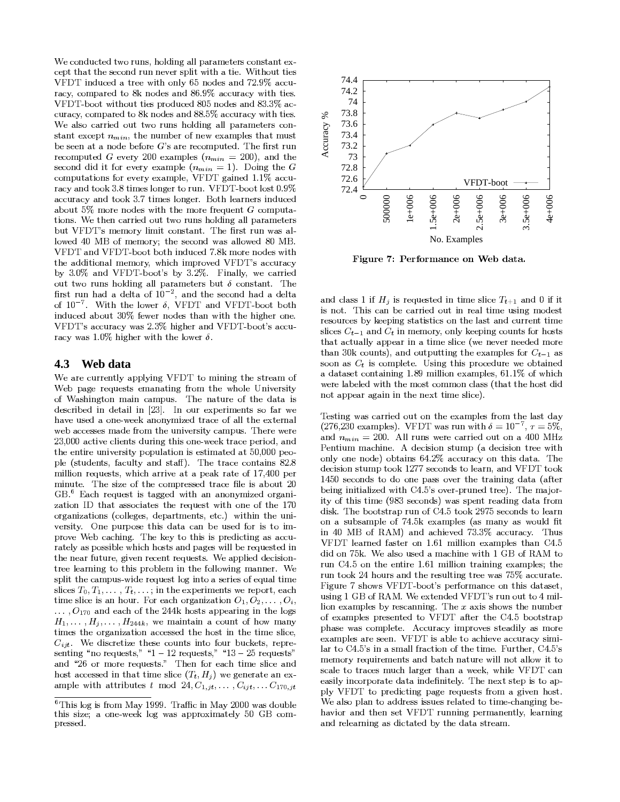We conducted two runs, holding all parameters constant except that the second run never split with a tie. Without ties VFDT induced a tree with only 65 nodes and 72.9% accuracy, compared to 8k nodes and 86.9% accuracy with ties. VFDT-boot without ties produced 805 nodes and 83.3% accuracy, compared to 8k nodes and 88.5% accuracy with ties. We also carried out two runs holding all parameters constant except  $n_{min}$ , the number of new examples that must be seen at a node before  $G$ 's are recomputed. The first run recomputed G every 200 examples  $(n_{min} = 200)$ , and the second did it for every example  $(n_{min} = 1)$ . Doing the G computations for every example, VFDT gained 1.1% accuracy and took 3.8 times longer to run. VFDT-boot lost 0.9% accuracy and took 3.7 times longer. Both learners induced about 5% more nodes with the more frequent  $G$  computations. We then carried out two runs holding all parameters but VFDT's memory limit constant. The first run was allowed 40 MB of memory; the second was allowed 80 MB. VFDT and VFDT-boot both induced 7.8k more nodes with the additional memory, which improved VFDT's accuracy by 3.0% and VFDT-boot's by 3.2%. Finally, we carried out two runs holding all parameters but  $\delta$  constant. The first run had a delta of  $10^{-2}$ , and the second had a delta of  $10^{-7}$ . With the lower  $\delta$ , VFDT and VFDT-boot both induced about 30% fewer nodes than with the higher one. VFDT's accuracy was 2.3% higher and VFDT-boot's accuracy was 1.0% higher with the lower  $\delta$ .

#### 4.3 Web data

We are currently applying VFDT to mining the stream of Web page requests emanating from the whole University of Washington main campus. The nature of the data is described in detail in [23]. In our experiments so far we have used a one-week anonymized trace of all the external web accesses made from the university campus. There were 23,000 active clients during this one-week trace period, and the entire university population is estimated at 50,000 people (students, faculty and staff). The trace contains 82.8 million requests, which arrive at a peak rate of 17,400 per minute. The size of the compressed trace file is about 20 GB.<sup>6</sup> Each request is tagged with an anonymized organization ID that associates the request with one of the 170 organizations (colleges, departments, etc.) within the university. One purpose this data can be used for is to improve Web caching. The key to this is predicting as accurately as possible which hosts and pages will be requested in the near future, given recent requests. We applied decisiontree learning to this problem in the following manner. We split the campus-wide request log into a series of equal time slices  $T_0, T_1, \ldots, T_t, \ldots$ ; in the experiments we report, each time slice is an hour. For each organization  $O_1, O_2, \ldots, O_i$ ,  $\ldots$ ,  $O_{170}$  and each of the 244k hosts appearing in the logs  $H_1, \ldots, H_j, \ldots, H_{244k}$ , we maintain a count of how many times the organization accessed the host in the time slice,  $C_{ijt}$ . We discretize these counts into four buckets, representing "no requests," " $1 - 12$  requests," " $13 - 25$  requests" and "26 or more requests." Then for each time slice and host accessed in that time slice  $(T_t, H_i)$  we generate an example with attributes t mod 24,  $C_{1,jt}, \ldots, C_{ijt}, \ldots C_{170,jt}$ 



Figure 7: Performance on Web data.

and class 1 if  $H_i$  is requested in time slice  $T_{t+1}$  and 0 if it is not. This can be carried out in real time using modest resources by keeping statistics on the last and current time slices  $C_{t-1}$  and  $C_t$  in memory, only keeping counts for hosts that actually appear in a time slice (we never needed more than 30k counts), and outputting the examples for  $C_{t-1}$  as soon as  $C_t$  is complete. Using this procedure we obtained a dataset containing 1.89 million examples, 61.1% of which were labeled with the most common class (that the host did not appear again in the next time slice).

Testing was carried out on the examples from the last day (276,230 examples). VFDT was run with  $\delta = 10^{-7}$ ,  $\tau = 5\%$ , and  $n_{min} = 200$ . All runs were carried out on a 400 MHz Pentium machine. A decision stump (a decision tree with only one node) obtains 64.2% accuracy on this data. The decision stump took 1277 seconds to learn, and VFDT took 1450 seconds to do one pass over the training data (after being initialized with C4.5's over-pruned tree). The majority of this time (983 seconds) was spent reading data from disk. The bootstrap run of C4.5 took 2975 seconds to learn on a subsample of 74.5k examples (as many as would fit in 40 MB of RAM) and achieved 73.3% accuracy. Thus VFDT learned faster on 1.61 million examples than C4.5 did on 75k. We also used a machine with 1 GB of RAM to run C4.5 on the entire 1.61 million training examples; the run took 24 hours and the resulting tree was 75% accurate. Figure 7 shows VFDT-boot's performance on this dataset, using 1 GB of RAM. We extended VFDT's run out to 4 million examples by rescanning. The  $x$  axis shows the number of examples presented to VFDT after the C4.5 bootstrap phase was complete. Accuracy improves steadily as more examples are seen. VFDT is able to achieve accuracy similar to C4.5's in a small fraction of the time. Further, C4.5's memory requirements and batch nature will not allow it to scale to traces much larger than a week, while VFDT can easily incorporate data indefinitely. The next step is to apply VFDT to predicting page requests from a given host. We also plan to address issues related to time-changing behavior and then set VFDT running permanently, learning and relearning as dictated by the data stream.

<sup>&</sup>lt;sup>6</sup>This log is from May 1999. Traffic in May 2000 was double this size; a one-week log was approximately 50 GB compressed.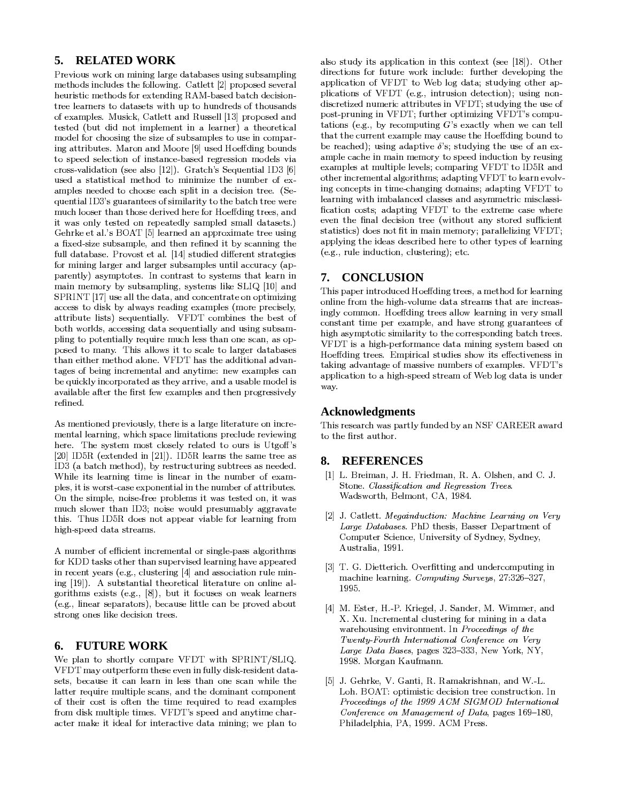#### **RELATED WORK** 5.

Previous work on mining large databases using subsampling methods includes the following. Catlett [2] proposed several heuristic methods for extending RAM-based batch decisiontree learners to datasets with up to hundreds of thousands of examples. Musick, Catlett and Russell [13] proposed and tested (but did not implement in a learner) a theoretical model for choosing the size of subsamples to use in comparing attributes. Maron and Moore [9] used Hoeffding bounds to speed selection of instance-based regression models via cross-validation (see also [12]). Gratch's Sequential ID3 [6] used a statistical method to minimize the number of examples needed to choose each split in a decision tree. (Sequential ID3's guarantees of similarity to the batch tree were much looser than those derived here for Hoeffding trees, and it was only tested on repeatedly sampled small datasets.) Gehrke et al.'s BOAT [5] learned an approximate tree using a fixed-size subsample, and then refined it by scanning the full database. Provost et al. [14] studied different strategies for mining larger and larger subsamples until accuracy (apparently) asymptotes. In contrast to systems that learn in main memory by subsampling, systems like SLIQ [10] and SPRINT [17] use all the data, and concentrate on optimizing access to disk by always reading examples (more precisely, attribute lists) sequentially. VFDT combines the best of both worlds, accessing data sequentially and using subsampling to potentially require much less than one scan, as opposed to many. This allows it to scale to larger databases than either method alone. VFDT has the additional advantages of being incremental and anytime: new examples can be quickly incorporated as they arrive, and a usable model is available after the first few examples and then progressively refined.

As mentioned previously, there is a large literature on incremental learning, which space limitations preclude reviewing here. The system most closely related to ours is Utgoff's [20] ID5R (extended in [21]). ID5R learns the same tree as ID3 (a batch method), by restructuring subtrees as needed. While its learning time is linear in the number of examples, it is worst-case exponential in the number of attributes. On the simple, noise-free problems it was tested on, it was much slower than ID3; noise would presumably aggravate this. Thus ID5R does not appear viable for learning from high-speed data streams.

A number of efficient incremental or single-pass algorithms for KDD tasks other than supervised learning have appeared in recent years (e.g., clustering [4] and association rule mining [19]). A substantial theoretical literature on online algorithms exists (e.g.,  $[8]$ ), but it focuses on weak learners (e.g., linear separators), because little can be proved about strong ones like decision trees.

#### **FUTURE WORK** 6.

We plan to shortly compare VFDT with SPRINT/SLIQ. VFDT may outperform these even in fully disk-resident datasets, because it can learn in less than one scan while the latter require multiple scans, and the dominant component of their cost is often the time required to read examples from disk multiple times. VFDT's speed and anytime character make it ideal for interactive data mining; we plan to also study its application in this context (see [18]). Other directions for future work include: further developing the application of VFDT to Web log data; studying other applications of VFDT (e.g., intrusion detection); using nondiscretized numeric attributes in VFDT; studying the use of post-pruning in VFDT; further optimizing VFDT's computations (e.g., by recomputing  $G$ 's exactly when we can tell that the current example may cause the Hoeffding bound to be reached); using adaptive  $\delta$ 's; studying the use of an example cache in main memory to speed induction by reusing examples at multiple levels; comparing VFDT to ID5R and other incremental algorithms; adapting VFDT to learn evolving concepts in time-changing domains; adapting VFDT to learning with imbalanced classes and asymmetric misclassification costs; adapting VFDT to the extreme case where even the final decision tree (without any stored sufficient statistics) does not fit in main memory; parallelizing VFDT; applying the ideas described here to other types of learning  $(e.g., rule induction, clustering); etc.$ 

# 7. CONCLUSION

This paper introduced Hoeffding trees, a method for learning online from the high-volume data streams that are increasingly common. Hoeffding trees allow learning in very small constant time per example, and have strong guarantees of high asymptotic similarity to the corresponding batch trees. VFDT is a high-performance data mining system based on Hoeffding trees. Empirical studies show its effectiveness in taking advantage of massive numbers of examples. VFDT's application to a high-speed stream of Web log data is under way.

## **Acknowledgments**

This research was partly funded by an NSF CAREER award to the first author.

#### 8. **REFERENCES**

- [1] L. Breiman, J. H. Friedman, R. A. Olshen, and C. J. Stone. Classification and Regression Trees. Wadsworth, Belmont, CA, 1984.
- [2] J. Catlett. Megainduction: Machine Learning on Very Large Databases. PhD thesis, Basser Department of Computer Science, University of Sydney, Sydney, Australia, 1991.
- [3] T. G. Dietterich. Overfitting and undercomputing in machine learning. Computing Surveys, 27:326-327, 1995.
- [4] M. Ester, H.-P. Kriegel, J. Sander, M. Wimmer, and X. Xu. Incremental clustering for mining in a data warehousing environment. In Proceedings of the Twenty-Fourth International Conference on Very Large Data Bases, pages 323-333, New York, NY, 1998. Morgan Kaufmann.
- [5] J. Gehrke, V. Ganti, R. Ramakrishnan, and W.-L. Loh. BOAT: optimistic decision tree construction. In Proceedings of the 1999 ACM SIGMOD International Conference on Management of Data, pages 169-180, Philadelphia, PA, 1999. ACM Press.